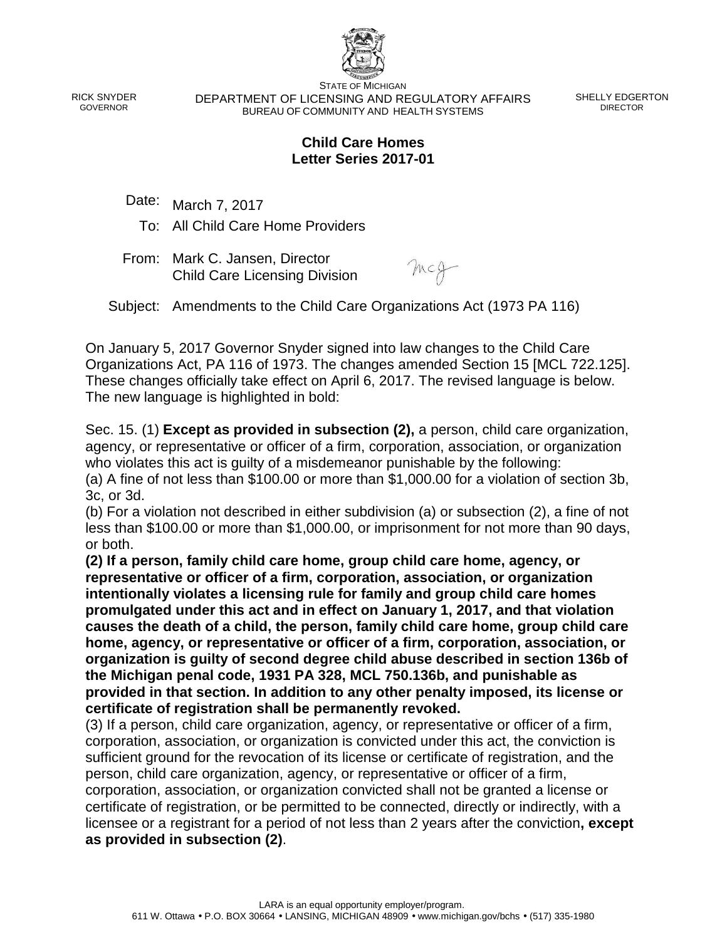RICK SNYDER GOVERNOR

STATE OF MICHIGAN DEPARTMENT OF LICENSING AND REGULATORY AFFAIRS BUREAU OF COMMUNITY AND HEALTH SYSTEMS

SHELLY EDGERTON DIRECTOR

## **Child Care Homes Letter Series 2017-01**

Date: March 7, 2017

To: All Child Care Home Providers

From: Mark C. Jansen, Director Child Care Licensing Division

mag

Subject: Amendments to the Child Care Organizations Act (1973 PA 116)

On January 5, 2017 Governor Snyder signed into law changes to the Child Care Organizations Act, PA 116 of 1973. The changes amended Section 15 [MCL 722.125]. These changes officially take effect on April 6, 2017. The revised language is below. The new language is highlighted in bold:

Sec. 15. (1) **Except as provided in subsection (2),** a person, child care organization, agency, or representative or officer of a firm, corporation, association, or organization who violates this act is guilty of a misdemeanor punishable by the following:

(a) A fine of not less than \$100.00 or more than \$1,000.00 for a violation of section 3b, 3c, or 3d.

(b) For a violation not described in either subdivision (a) or subsection (2), a fine of not less than \$100.00 or more than \$1,000.00, or imprisonment for not more than 90 days, or both.

**(2) If a person, family child care home, group child care home, agency, or representative or officer of a firm, corporation, association, or organization intentionally violates a licensing rule for family and group child care homes promulgated under this act and in effect on January 1, 2017, and that violation causes the death of a child, the person, family child care home, group child care home, agency, or representative or officer of a firm, corporation, association, or organization is guilty of second degree child abuse described in section 136b of the Michigan penal code, 1931 PA 328, MCL 750.136b, and punishable as provided in that section. In addition to any other penalty imposed, its license or certificate of registration shall be permanently revoked.** 

(3) If a person, child care organization, agency, or representative or officer of a firm, corporation, association, or organization is convicted under this act, the conviction is sufficient ground for the revocation of its license or certificate of registration, and the person, child care organization, agency, or representative or officer of a firm, corporation, association, or organization convicted shall not be granted a license or certificate of registration, or be permitted to be connected, directly or indirectly, with a licensee or a registrant for a period of not less than 2 years after the conviction**, except as provided in subsection (2)**.